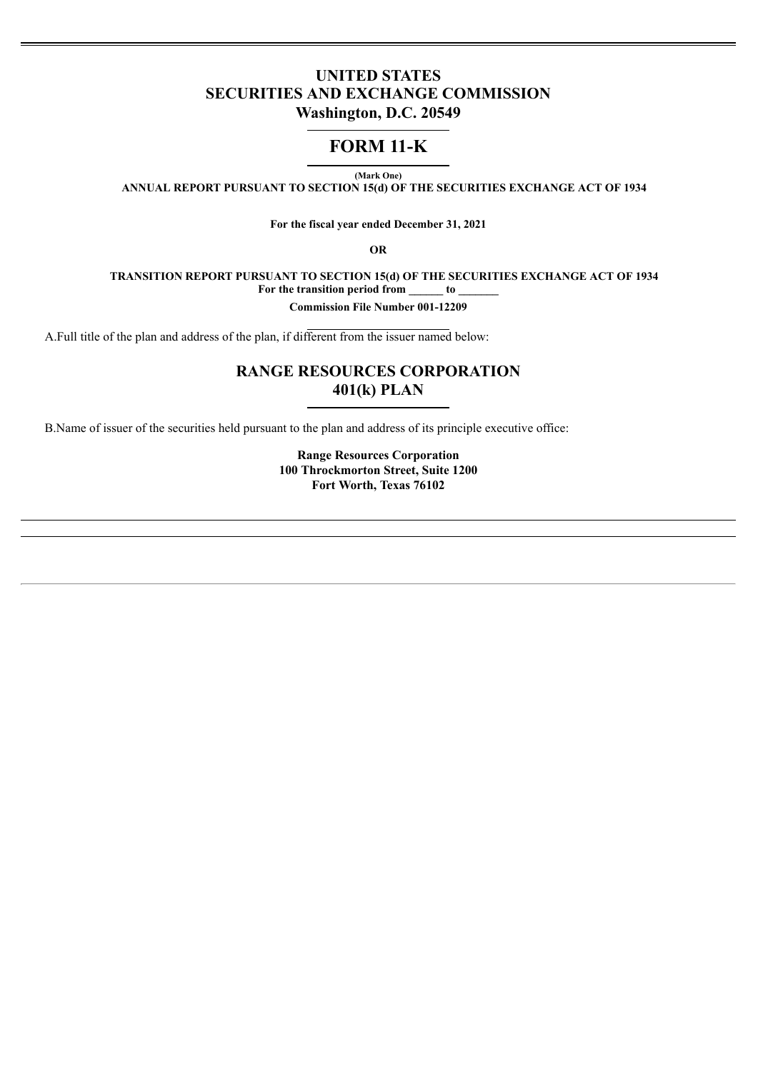# **UNITED STATES SECURITIES AND EXCHANGE COMMISSION Washington, D.C. 20549**

# **FORM 11-K**

**(Mark One)**

**ANNUAL REPORT PURSUANT TO SECTION 15(d) OF THE SECURITIES EXCHANGE ACT OF 1934**

**For the fiscal year ended December 31, 2021**

**OR**

**TRANSITION REPORT PURSUANT TO SECTION 15(d) OF THE SECURITIES EXCHANGE ACT OF 1934 For the transition period from \_\_\_\_\_\_ to \_\_\_\_\_\_\_**

**Commission File Number 001-12209**

A.Full title of the plan and address of the plan, if different from the issuer named below:

# **RANGE RESOURCES CORPORATION 401(k) PLAN**

B.Name of issuer of the securities held pursuant to the plan and address of its principle executive office:

**Range Resources Corporation 100 Throckmorton Street, Suite 1200 Fort Worth, Texas 76102**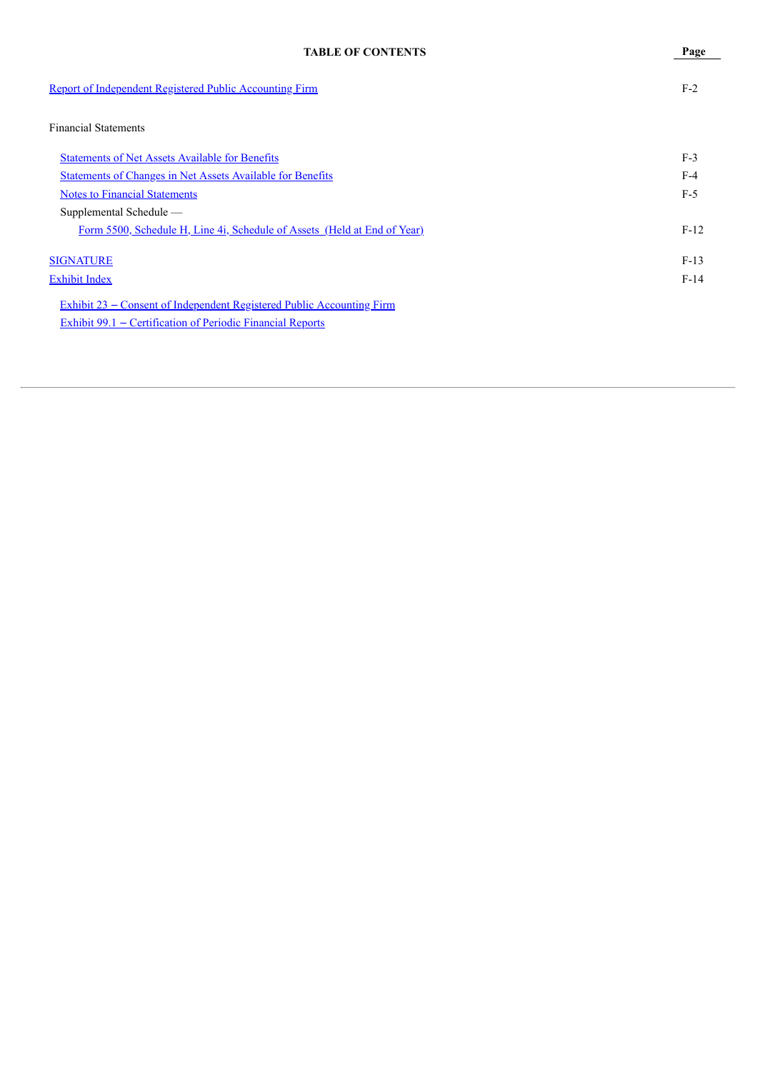<span id="page-1-0"></span>

| <b>TABLE OF CONTENTS</b>                                                     | Page   |
|------------------------------------------------------------------------------|--------|
| Report of Independent Registered Public Accounting Firm                      | $F-2$  |
| <b>Financial Statements</b>                                                  |        |
| <b>Statements of Net Assets Available for Benefits</b>                       | $F-3$  |
| <b>Statements of Changes in Net Assets Available for Benefits</b>            | $F-4$  |
| <b>Notes to Financial Statements</b>                                         | $F-5$  |
| Supplemental Schedule —                                                      |        |
| Form 5500, Schedule H, Line 4i, Schedule of Assets (Held at End of Year)     | $F-12$ |
| <b>SIGNATURE</b>                                                             | $F-13$ |
| <b>Exhibit Index</b>                                                         | $F-14$ |
| <b>Exhibit 23 – Consent of Independent Registered Public Accounting Firm</b> |        |
| <b>Exhibit 99.1 – Certification of Periodic Financial Reports</b>            |        |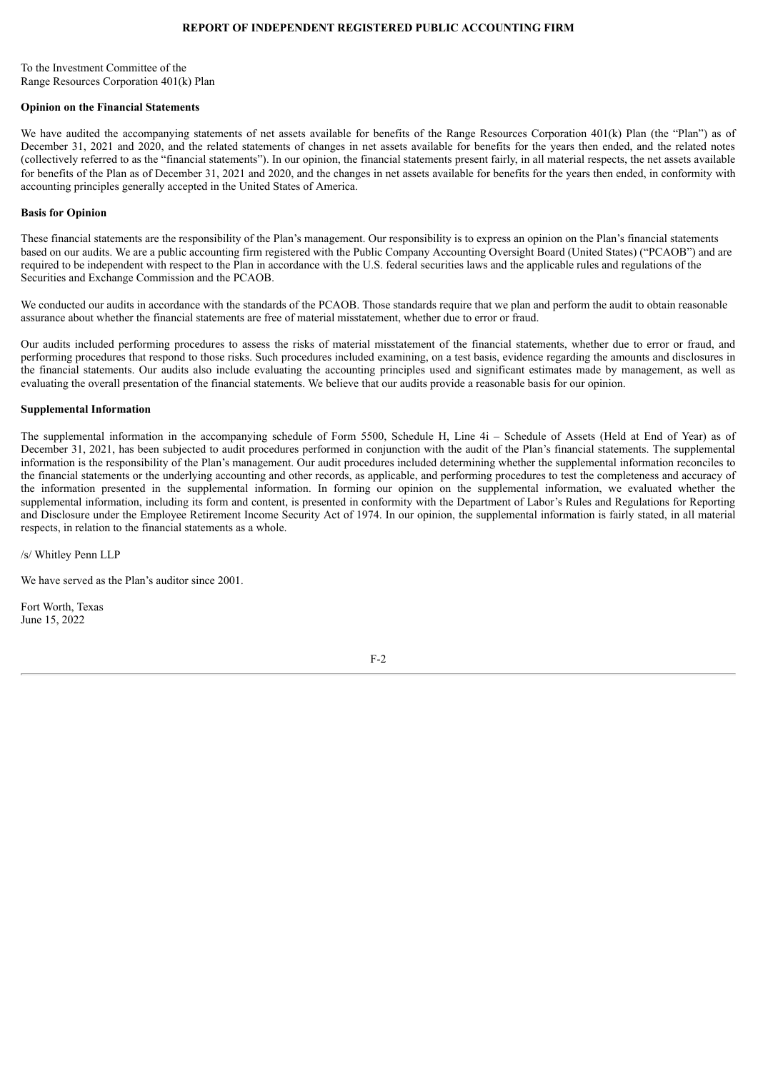#### **REPORT OF INDEPENDENT REGISTERED PUBLIC ACCOUNTING FIRM**

To the Investment Committee of the Range Resources Corporation 401(k) Plan

#### **Opinion on the Financial Statements**

We have audited the accompanying statements of net assets available for benefits of the Range Resources Corporation 401(k) Plan (the "Plan") as of December 31, 2021 and 2020, and the related statements of changes in net assets available for benefits for the years then ended, and the related notes (collectively referred to as the "financial statements"). In our opinion, the financial statements present fairly, in all material respects, the net assets available for benefits of the Plan as of December 31, 2021 and 2020, and the changes in net assets available for benefits for the years then ended, in conformity with accounting principles generally accepted in the United States of America.

#### **Basis for Opinion**

These financial statements are the responsibility of the Plan's management. Our responsibility is to express an opinion on the Plan's financial statements based on our audits. We are a public accounting firm registered with the Public Company Accounting Oversight Board (United States) ("PCAOB") and are required to be independent with respect to the Plan in accordance with the U.S. federal securities laws and the applicable rules and regulations of the Securities and Exchange Commission and the PCAOB.

We conducted our audits in accordance with the standards of the PCAOB. Those standards require that we plan and perform the audit to obtain reasonable assurance about whether the financial statements are free of material misstatement, whether due to error or fraud.

Our audits included performing procedures to assess the risks of material misstatement of the financial statements, whether due to error or fraud, and performing procedures that respond to those risks. Such procedures included examining, on a test basis, evidence regarding the amounts and disclosures in the financial statements. Our audits also include evaluating the accounting principles used and significant estimates made by management, as well as evaluating the overall presentation of the financial statements. We believe that our audits provide a reasonable basis for our opinion.

#### **Supplemental Information**

The supplemental information in the accompanying schedule of Form 5500, Schedule H, Line 4i – Schedule of Assets (Held at End of Year) as of December 31, 2021, has been subjected to audit procedures performed in conjunction with the audit of the Plan's financial statements. The supplemental information is the responsibility of the Plan's management. Our audit procedures included determining whether the supplemental information reconciles to the financial statements or the underlying accounting and other records, as applicable, and performing procedures to test the completeness and accuracy of the information presented in the supplemental information. In forming our opinion on the supplemental information, we evaluated whether the supplemental information, including its form and content, is presented in conformity with the Department of Labor's Rules and Regulations for Reporting and Disclosure under the Employee Retirement Income Security Act of 1974. In our opinion, the supplemental information is fairly stated, in all material respects, in relation to the financial statements as a whole.

/s/ Whitley Penn LLP

We have served as the Plan's auditor since 2001.

Fort Worth, Texas June 15, 2022

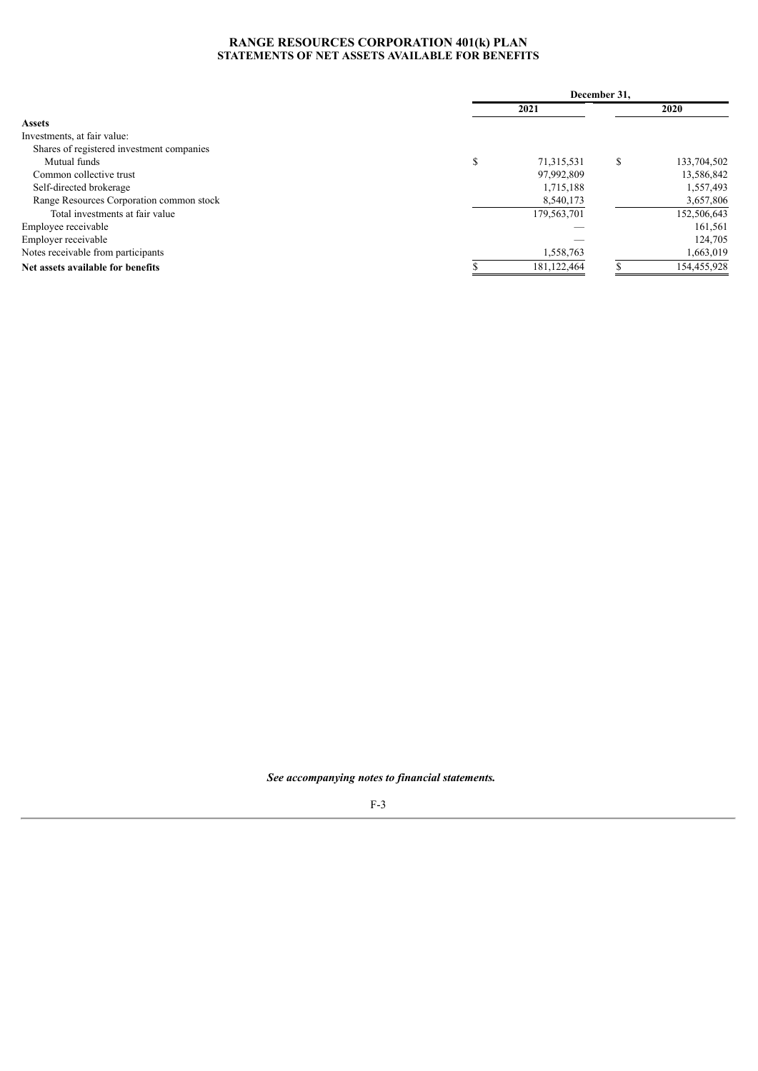#### **RANGE RESOURCES CORPORATION 401(k) PLAN STATEMENTS OF NET ASSETS AVAILABLE FOR BENEFITS**

<span id="page-3-0"></span>

|                                           | December 31, |             |     |             |  |
|-------------------------------------------|--------------|-------------|-----|-------------|--|
|                                           | 2021         |             |     | 2020        |  |
| <b>Assets</b>                             |              |             |     |             |  |
| Investments, at fair value:               |              |             |     |             |  |
| Shares of registered investment companies |              |             |     |             |  |
| Mutual funds                              | S            | 71,315,531  | \$. | 133,704,502 |  |
| Common collective trust                   |              | 97,992,809  |     | 13,586,842  |  |
| Self-directed brokerage                   |              | 1,715,188   |     | 1,557,493   |  |
| Range Resources Corporation common stock  |              | 8,540,173   |     | 3,657,806   |  |
| Total investments at fair value           |              | 179,563,701 |     | 152,506,643 |  |
| Employee receivable                       |              |             |     | 161,561     |  |
| Employer receivable                       |              |             |     | 124,705     |  |
| Notes receivable from participants        |              | 1,558,763   |     | 1,663,019   |  |
| Net assets available for benefits         |              | 181,122,464 |     | 154,455,928 |  |

*See accompanying notes to financial statements.*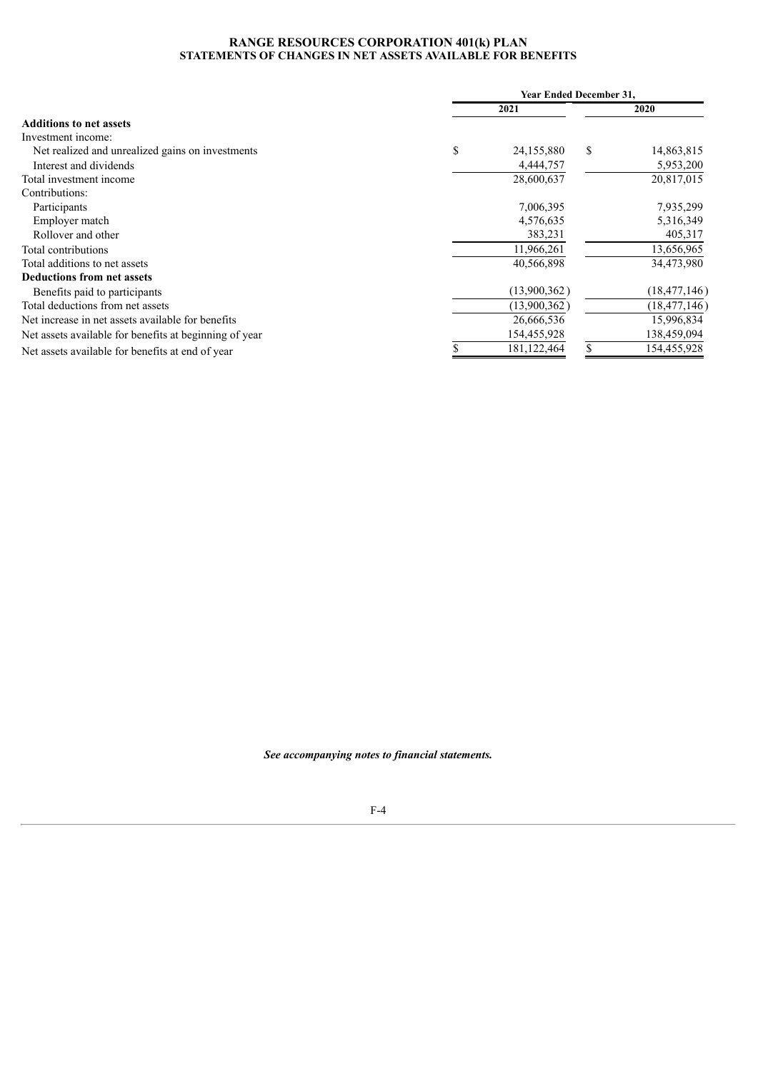#### **RANGE RESOURCES CORPORATION 401(k) PLAN STATEMENTS OF CHANGES IN NET ASSETS AVAILABLE FOR BENEFITS**

<span id="page-4-0"></span>

|                                                        |    | <b>Year Ended December 31,</b> |   |                |  |
|--------------------------------------------------------|----|--------------------------------|---|----------------|--|
|                                                        |    | 2020                           |   |                |  |
| <b>Additions to net assets</b>                         |    |                                |   |                |  |
| Investment income:                                     |    |                                |   |                |  |
| Net realized and unrealized gains on investments       | \$ | 24,155,880                     | S | 14,863,815     |  |
| Interest and dividends                                 |    | 4,444,757                      |   | 5,953,200      |  |
| Total investment income                                |    | 28,600,637                     |   | 20,817,015     |  |
| Contributions:                                         |    |                                |   |                |  |
| Participants                                           |    | 7,006,395                      |   | 7,935,299      |  |
| Employer match                                         |    | 4,576,635                      |   | 5,316,349      |  |
| Rollover and other                                     |    | 383,231                        |   | 405,317        |  |
| Total contributions                                    |    | 11,966,261                     |   | 13,656,965     |  |
| Total additions to net assets                          |    | 40,566,898                     |   |                |  |
| <b>Deductions from net assets</b>                      |    |                                |   |                |  |
| Benefits paid to participants                          |    | (13,900,362)                   |   | (18, 477, 146) |  |
| Total deductions from net assets                       |    | (13,900,362)                   |   | (18, 477, 146) |  |
| Net increase in net assets available for benefits      |    | 26,666,536                     |   | 15,996,834     |  |
| Net assets available for benefits at beginning of year |    | 154,455,928                    |   | 138,459,094    |  |
| Net assets available for benefits at end of year       |    | 181, 122, 464                  |   | 154,455,928    |  |

*See accompanying notes to financial statements.*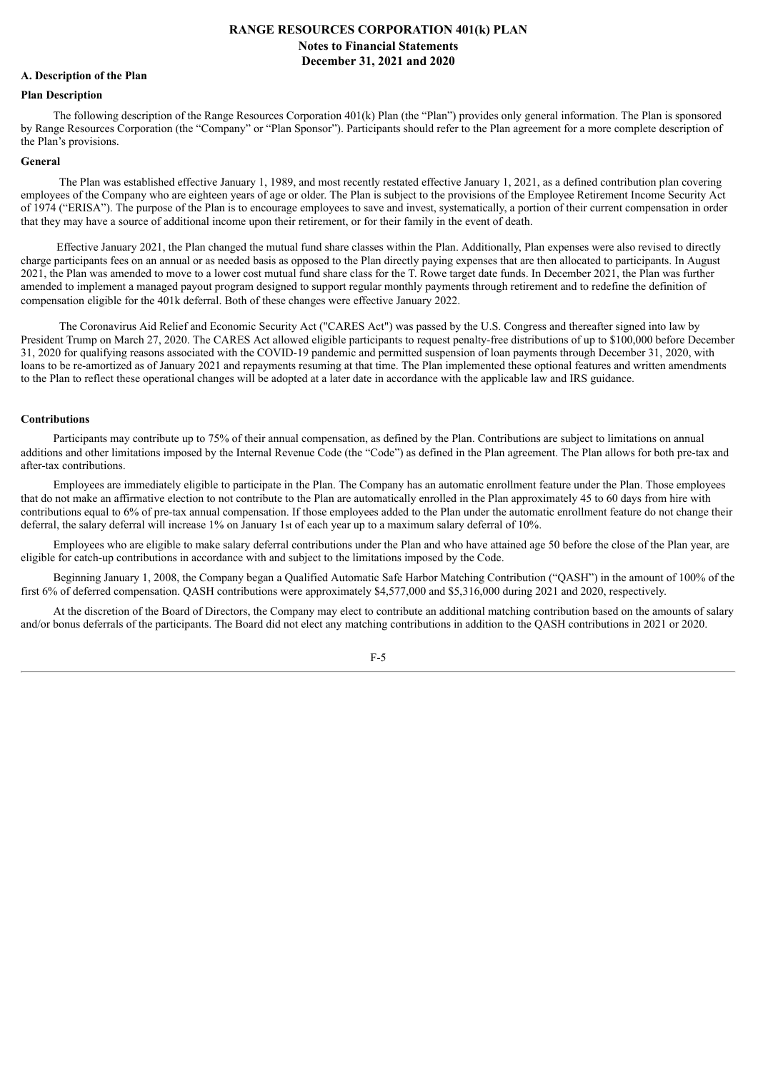#### <span id="page-5-0"></span>**A. Description of the Plan**

#### **Plan Description**

The following description of the Range Resources Corporation 401(k) Plan (the "Plan") provides only general information. The Plan is sponsored by Range Resources Corporation (the "Company" or "Plan Sponsor"). Participants should refer to the Plan agreement for a more complete description of the Plan's provisions.

#### **General**

The Plan was established effective January 1, 1989, and most recently restated effective January 1, 2021, as a defined contribution plan covering employees of the Company who are eighteen years of age or older. The Plan is subject to the provisions of the Employee Retirement Income Security Act of 1974 ("ERISA"). The purpose of the Plan is to encourage employees to save and invest, systematically, a portion of their current compensation in order that they may have a source of additional income upon their retirement, or for their family in the event of death.

Effective January 2021, the Plan changed the mutual fund share classes within the Plan. Additionally, Plan expenses were also revised to directly charge participants fees on an annual or as needed basis as opposed to the Plan directly paying expenses that are then allocated to participants. In August 2021, the Plan was amended to move to a lower cost mutual fund share class for the T. Rowe target date funds. In December 2021, the Plan was further amended to implement a managed payout program designed to support regular monthly payments through retirement and to redefine the definition of compensation eligible for the 401k deferral. Both of these changes were effective January 2022.

The Coronavirus Aid Relief and Economic Security Act ("CARES Act") was passed by the U.S. Congress and thereafter signed into law by President Trump on March 27, 2020. The CARES Act allowed eligible participants to request penalty-free distributions of up to \$100,000 before December 31, 2020 for qualifying reasons associated with the COVID-19 pandemic and permitted suspension of loan payments through December 31, 2020, with loans to be re-amortized as of January 2021 and repayments resuming at that time. The Plan implemented these optional features and written amendments to the Plan to reflect these operational changes will be adopted at a later date in accordance with the applicable law and IRS guidance.

#### **Contributions**

Participants may contribute up to 75% of their annual compensation, as defined by the Plan. Contributions are subject to limitations on annual additions and other limitations imposed by the Internal Revenue Code (the "Code") as defined in the Plan agreement. The Plan allows for both pre-tax and after-tax contributions.

Employees are immediately eligible to participate in the Plan. The Company has an automatic enrollment feature under the Plan. Those employees that do not make an affirmative election to not contribute to the Plan are automatically enrolled in the Plan approximately 45 to 60 days from hire with contributions equal to 6% of pre-tax annual compensation. If those employees added to the Plan under the automatic enrollment feature do not change their deferral, the salary deferral will increase 1% on January 1st of each year up to a maximum salary deferral of 10%.

Employees who are eligible to make salary deferral contributions under the Plan and who have attained age 50 before the close of the Plan year, are eligible for catch-up contributions in accordance with and subject to the limitations imposed by the Code.

Beginning January 1, 2008, the Company began a Qualified Automatic Safe Harbor Matching Contribution ("QASH") in the amount of 100% of the first 6% of deferred compensation. QASH contributions were approximately \$4,577,000 and \$5,316,000 during 2021 and 2020, respectively.

At the discretion of the Board of Directors, the Company may elect to contribute an additional matching contribution based on the amounts of salary and/or bonus deferrals of the participants. The Board did not elect any matching contributions in addition to the QASH contributions in 2021 or 2020.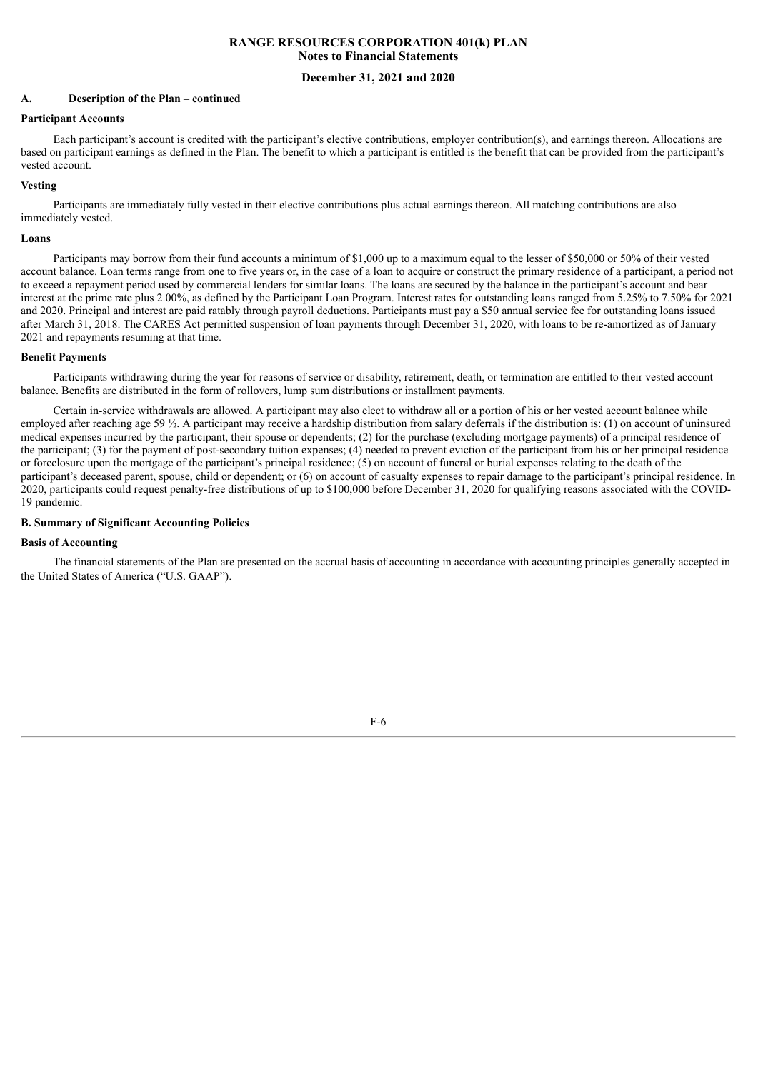#### **RANGE RESOURCES CORPORATION 401(k) PLAN Notes to Financial Statements**

#### **December 31, 2021 and 2020**

#### **A. Description of the Plan – continued**

#### **Participant Accounts**

Each participant's account is credited with the participant's elective contributions, employer contribution(s), and earnings thereon. Allocations are based on participant earnings as defined in the Plan. The benefit to which a participant is entitled is the benefit that can be provided from the participant's vested account.

#### **Vesting**

Participants are immediately fully vested in their elective contributions plus actual earnings thereon. All matching contributions are also immediately vested.

#### **Loans**

Participants may borrow from their fund accounts a minimum of \$1,000 up to a maximum equal to the lesser of \$50,000 or 50% of their vested account balance. Loan terms range from one to five years or, in the case of a loan to acquire or construct the primary residence of a participant, a period not to exceed a repayment period used by commercial lenders for similar loans. The loans are secured by the balance in the participant's account and bear interest at the prime rate plus 2.00%, as defined by the Participant Loan Program. Interest rates for outstanding loans ranged from 5.25% to 7.50% for 2021 and 2020. Principal and interest are paid ratably through payroll deductions. Participants must pay a \$50 annual service fee for outstanding loans issued after March 31, 2018. The CARES Act permitted suspension of loan payments through December 31, 2020, with loans to be re-amortized as of January 2021 and repayments resuming at that time.

#### **Benefit Payments**

Participants withdrawing during the year for reasons of service or disability, retirement, death, or termination are entitled to their vested account balance. Benefits are distributed in the form of rollovers, lump sum distributions or installment payments.

Certain in-service withdrawals are allowed. A participant may also elect to withdraw all or a portion of his or her vested account balance while employed after reaching age 59  $\frac{1}{2}$ . A participant may receive a hardship distribution from salary deferrals if the distribution is: (1) on account of uninsured medical expenses incurred by the participant, their spouse or dependents; (2) for the purchase (excluding mortgage payments) of a principal residence of the participant; (3) for the payment of post-secondary tuition expenses; (4) needed to prevent eviction of the participant from his or her principal residence or foreclosure upon the mortgage of the participant's principal residence; (5) on account of funeral or burial expenses relating to the death of the participant's deceased parent, spouse, child or dependent; or (6) on account of casualty expenses to repair damage to the participant's principal residence. In 2020, participants could request penalty-free distributions of up to \$100,000 before December 31, 2020 for qualifying reasons associated with the COVID-19 pandemic.

#### **B. Summary of Significant Accounting Policies**

#### **Basis of Accounting**

The financial statements of the Plan are presented on the accrual basis of accounting in accordance with accounting principles generally accepted in the United States of America ("U.S. GAAP").

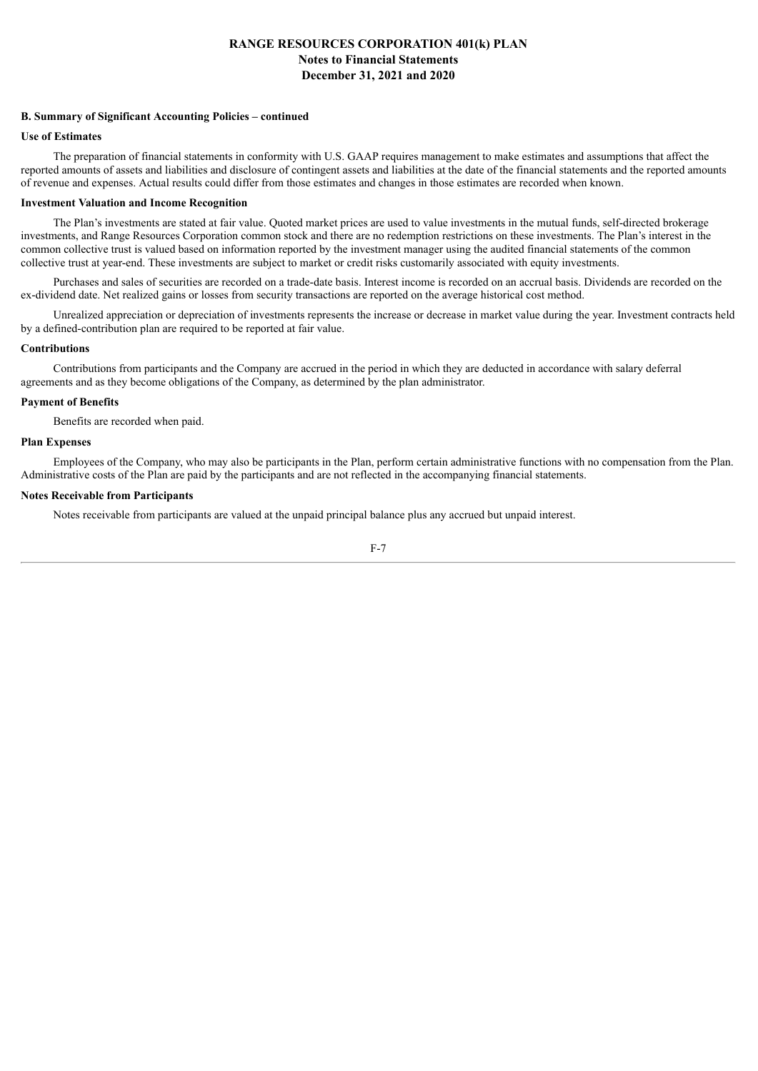#### **B. Summary of Significant Accounting Policies – continued**

#### **Use of Estimates**

The preparation of financial statements in conformity with U.S. GAAP requires management to make estimates and assumptions that affect the reported amounts of assets and liabilities and disclosure of contingent assets and liabilities at the date of the financial statements and the reported amounts of revenue and expenses. Actual results could differ from those estimates and changes in those estimates are recorded when known.

#### **Investment Valuation and Income Recognition**

The Plan's investments are stated at fair value. Quoted market prices are used to value investments in the mutual funds, self-directed brokerage investments, and Range Resources Corporation common stock and there are no redemption restrictions on these investments. The Plan's interest in the common collective trust is valued based on information reported by the investment manager using the audited financial statements of the common collective trust at year-end. These investments are subject to market or credit risks customarily associated with equity investments.

Purchases and sales of securities are recorded on a trade-date basis. Interest income is recorded on an accrual basis. Dividends are recorded on the ex-dividend date. Net realized gains or losses from security transactions are reported on the average historical cost method.

Unrealized appreciation or depreciation of investments represents the increase or decrease in market value during the year. Investment contracts held by a defined-contribution plan are required to be reported at fair value.

#### **Contributions**

Contributions from participants and the Company are accrued in the period in which they are deducted in accordance with salary deferral agreements and as they become obligations of the Company, as determined by the plan administrator.

#### **Payment of Benefits**

Benefits are recorded when paid.

#### **Plan Expenses**

Employees of the Company, who may also be participants in the Plan, perform certain administrative functions with no compensation from the Plan. Administrative costs of the Plan are paid by the participants and are not reflected in the accompanying financial statements.

### **Notes Receivable from Participants**

Notes receivable from participants are valued at the unpaid principal balance plus any accrued but unpaid interest.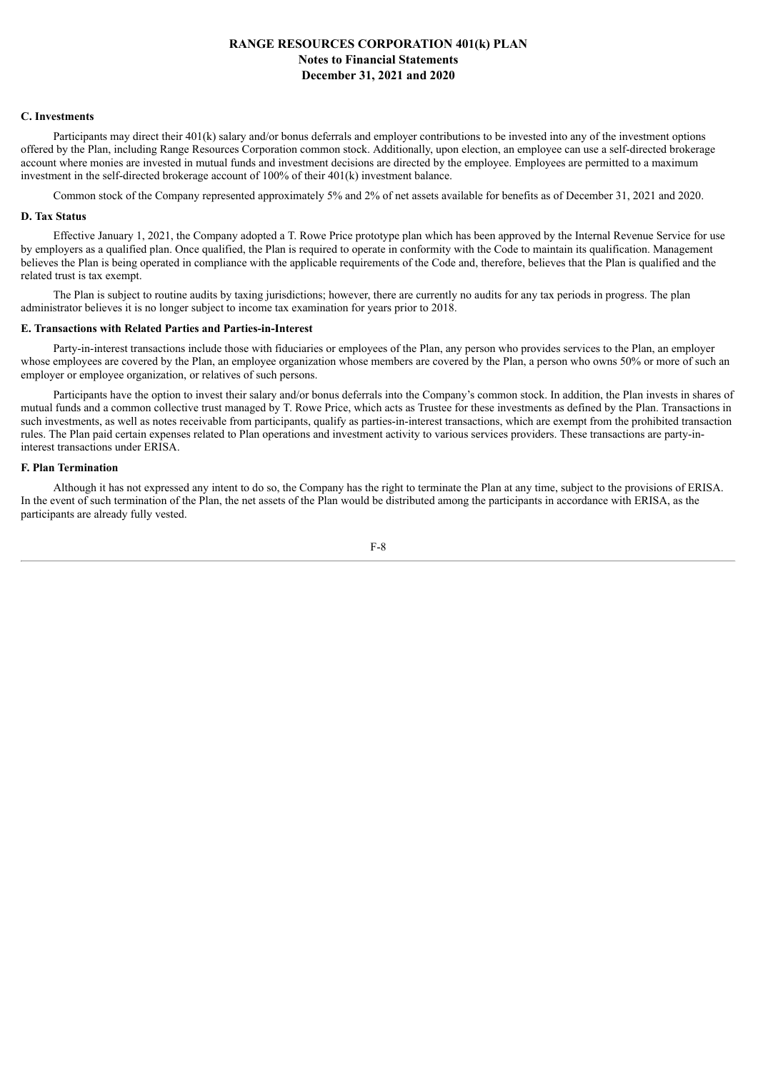#### **C. Investments**

Participants may direct their 401(k) salary and/or bonus deferrals and employer contributions to be invested into any of the investment options offered by the Plan, including Range Resources Corporation common stock. Additionally, upon election, an employee can use a self-directed brokerage account where monies are invested in mutual funds and investment decisions are directed by the employee. Employees are permitted to a maximum investment in the self-directed brokerage account of 100% of their 401(k) investment balance.

Common stock of the Company represented approximately 5% and 2% of net assets available for benefits as of December 31, 2021 and 2020.

#### **D. Tax Status**

Effective January 1, 2021, the Company adopted a T. Rowe Price prototype plan which has been approved by the Internal Revenue Service for use by employers as a qualified plan. Once qualified, the Plan is required to operate in conformity with the Code to maintain its qualification. Management believes the Plan is being operated in compliance with the applicable requirements of the Code and, therefore, believes that the Plan is qualified and the related trust is tax exempt.

The Plan is subject to routine audits by taxing jurisdictions; however, there are currently no audits for any tax periods in progress. The plan administrator believes it is no longer subject to income tax examination for years prior to 2018.

#### **E. Transactions with Related Parties and Parties-in-Interest**

Party-in-interest transactions include those with fiduciaries or employees of the Plan, any person who provides services to the Plan, an employer whose employees are covered by the Plan, an employee organization whose members are covered by the Plan, a person who owns 50% or more of such an employer or employee organization, or relatives of such persons.

Participants have the option to invest their salary and/or bonus deferrals into the Company's common stock. In addition, the Plan invests in shares of mutual funds and a common collective trust managed by T. Rowe Price, which acts as Trustee for these investments as defined by the Plan. Transactions in such investments, as well as notes receivable from participants, qualify as parties-in-interest transactions, which are exempt from the prohibited transaction rules. The Plan paid certain expenses related to Plan operations and investment activity to various services providers. These transactions are party-ininterest transactions under ERISA.

#### **F. Plan Termination**

Although it has not expressed any intent to do so, the Company has the right to terminate the Plan at any time, subject to the provisions of ERISA. In the event of such termination of the Plan, the net assets of the Plan would be distributed among the participants in accordance with ERISA, as the participants are already fully vested.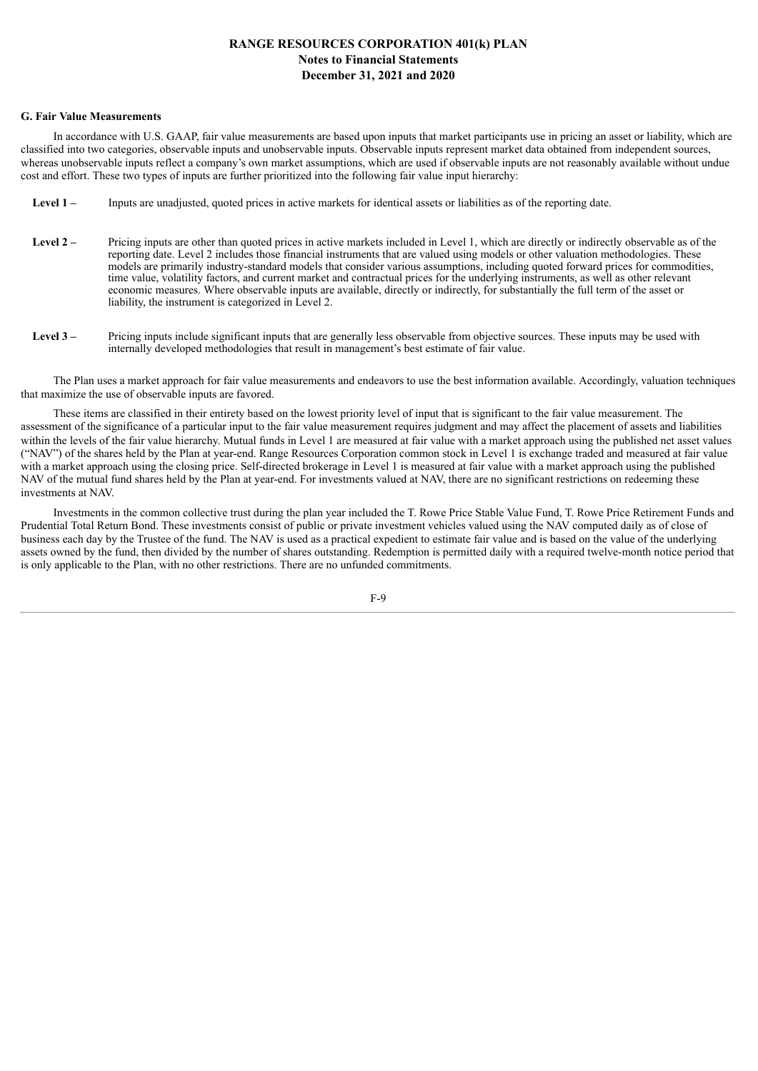#### **G. Fair Value Measurements**

In accordance with U.S. GAAP, fair value measurements are based upon inputs that market participants use in pricing an asset or liability, which are classified into two categories, observable inputs and unobservable inputs. Observable inputs represent market data obtained from independent sources, whereas unobservable inputs reflect a company's own market assumptions, which are used if observable inputs are not reasonably available without undue cost and effort. These two types of inputs are further prioritized into the following fair value input hierarchy:

- **Level 1 –** Inputs are unadjusted, quoted prices in active markets for identical assets or liabilities as of the reporting date.
- **Level 2** Pricing inputs are other than quoted prices in active markets included in Level 1, which are directly or indirectly observable as of the reporting date. Level 2 includes those financial instruments that are valued using models or other valuation methodologies. These models are primarily industry-standard models that consider various assumptions, including quoted forward prices for commodities, time value, volatility factors, and current market and contractual prices for the underlying instruments, as well as other relevant economic measures. Where observable inputs are available, directly or indirectly, for substantially the full term of the asset or liability, the instrument is categorized in Level 2.
- Level 3 Pricing inputs include significant inputs that are generally less observable from objective sources. These inputs may be used with internally developed methodologies that result in management's best estimate of fair value.

The Plan uses a market approach for fair value measurements and endeavors to use the best information available. Accordingly, valuation techniques that maximize the use of observable inputs are favored.

These items are classified in their entirety based on the lowest priority level of input that is significant to the fair value measurement. The assessment of the significance of a particular input to the fair value measurement requires judgment and may affect the placement of assets and liabilities within the levels of the fair value hierarchy. Mutual funds in Level 1 are measured at fair value with a market approach using the published net asset values ("NAV") of the shares held by the Plan at year-end. Range Resources Corporation common stock in Level 1 is exchange traded and measured at fair value with a market approach using the closing price. Self-directed brokerage in Level 1 is measured at fair value with a market approach using the published NAV of the mutual fund shares held by the Plan at year-end. For investments valued at NAV, there are no significant restrictions on redeeming these investments at NAV.

Investments in the common collective trust during the plan year included the T. Rowe Price Stable Value Fund, T. Rowe Price Retirement Funds and Prudential Total Return Bond. These investments consist of public or private investment vehicles valued using the NAV computed daily as of close of business each day by the Trustee of the fund. The NAV is used as a practical expedient to estimate fair value and is based on the value of the underlying assets owned by the fund, then divided by the number of shares outstanding. Redemption is permitted daily with a required twelve-month notice period that is only applicable to the Plan, with no other restrictions. There are no unfunded commitments.

 $F_0$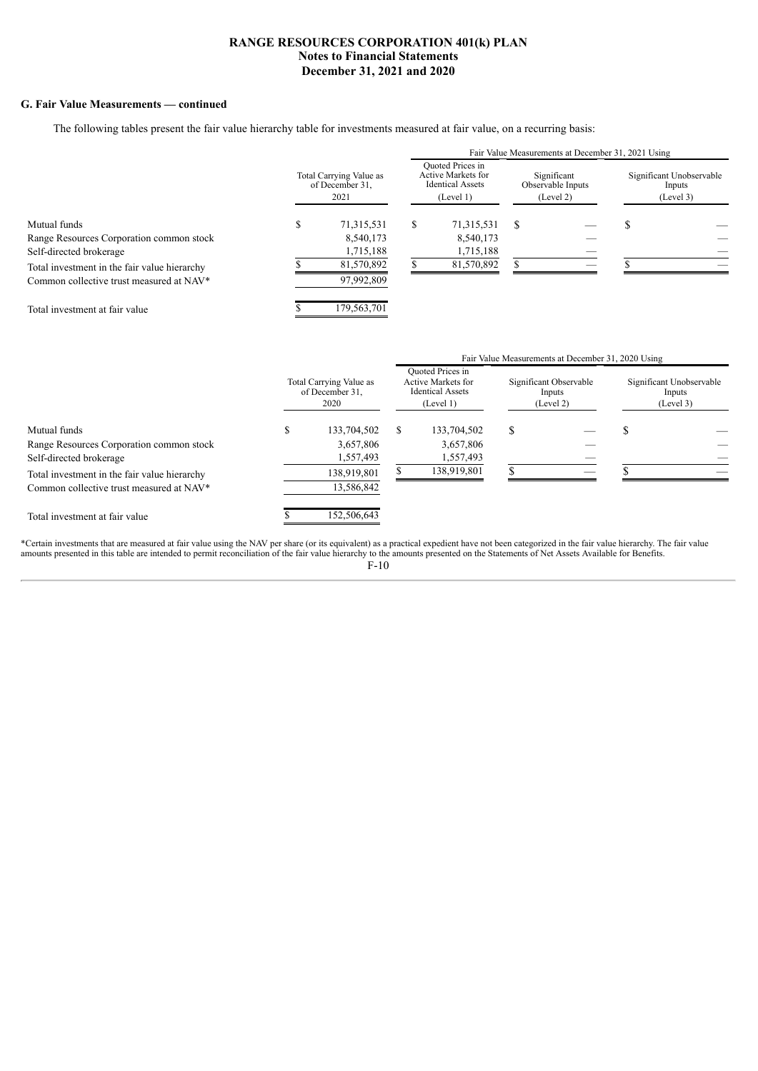# **G. Fair Value Measurements — continued**

The following tables present the fair value hierarchy table for investments measured at fair value, on a recurring basis:

|                                              |                                                    |             | Fair Value Measurements at December 31, 2021 Using                             |            |                                               |  |                                                 |  |
|----------------------------------------------|----------------------------------------------------|-------------|--------------------------------------------------------------------------------|------------|-----------------------------------------------|--|-------------------------------------------------|--|
|                                              | Total Carrying Value as<br>of December 31.<br>2021 |             | Quoted Prices in<br>Active Markets for<br><b>Identical Assets</b><br>(Level 1) |            | Significant<br>Observable Inputs<br>(Level 2) |  | Significant Unobservable<br>Inputs<br>(Level 3) |  |
| Mutual funds                                 | S                                                  | 71,315,531  | ъ.                                                                             | 71,315,531 | -S                                            |  |                                                 |  |
| Range Resources Corporation common stock     |                                                    | 8,540,173   |                                                                                | 8,540,173  |                                               |  |                                                 |  |
| Self-directed brokerage                      |                                                    | 1,715,188   |                                                                                | 1,715,188  |                                               |  |                                                 |  |
| Total investment in the fair value hierarchy |                                                    | 81.570.892  |                                                                                | 81,570,892 |                                               |  |                                                 |  |
| Common collective trust measured at NAV*     |                                                    | 97,992,809  |                                                                                |            |                                               |  |                                                 |  |
| Total investment at fair value               |                                                    | 179,563,701 |                                                                                |            |                                               |  |                                                 |  |

|                                                                                          |                                                    |                                       | Fair Value Measurements at December 31, 2020 Using                                    |                                       |                                               |  |                                                 |  |
|------------------------------------------------------------------------------------------|----------------------------------------------------|---------------------------------------|---------------------------------------------------------------------------------------|---------------------------------------|-----------------------------------------------|--|-------------------------------------------------|--|
|                                                                                          | Total Carrying Value as<br>of December 31.<br>2020 |                                       | <b>Ouoted Prices in</b><br>Active Markets for<br><b>Identical Assets</b><br>(Level 1) |                                       | Significant Observable<br>Inputs<br>(Level 2) |  | Significant Unobservable<br>Inputs<br>(Level 3) |  |
| Mutual funds<br>Range Resources Corporation common stock<br>Self-directed brokerage      |                                                    | 133,704,502<br>3,657,806<br>1,557,493 | S                                                                                     | 133,704,502<br>3,657,806<br>1,557,493 |                                               |  |                                                 |  |
| Total investment in the fair value hierarchy<br>Common collective trust measured at NAV* |                                                    | 138,919,801<br>13,586,842             |                                                                                       | 138,919,801                           |                                               |  |                                                 |  |
| Total investment at fair value                                                           |                                                    | 152,506,643                           |                                                                                       |                                       |                                               |  |                                                 |  |

\*Certain investments that are measured at fair value using the NAV per share (or its equivalent) as a practical expedient have not been categorized in the fair value hierarchy. The fair value amounts presented in this table are intended to permit reconciliation of the fair value hierarchy to the amounts presented on the Statements of Net Assets Available for Benefits.  $F-10$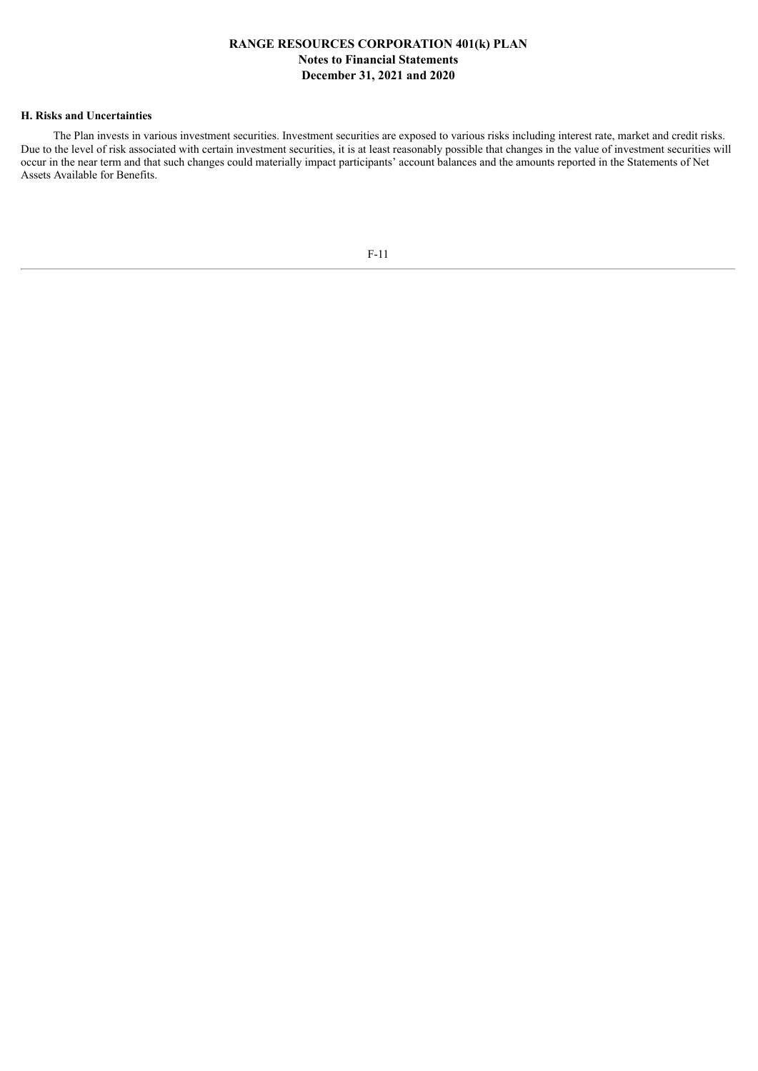### **H. Risks and Uncertainties**

The Plan invests in various investment securities. Investment securities are exposed to various risks including interest rate, market and credit risks. Due to the level of risk associated with certain investment securities, it is at least reasonably possible that changes in the value of investment securities will occur in the near term and that such changes could materially impact participants' account balances and the amounts reported in the Statements of Net Assets Available for Benefits.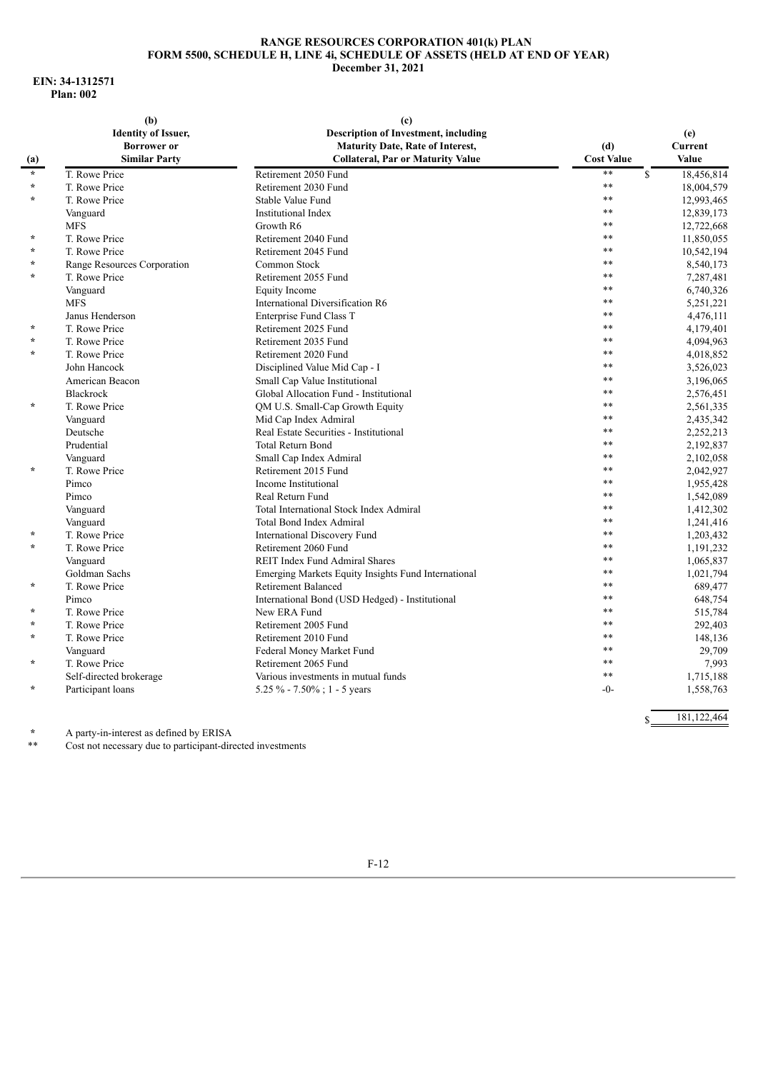#### **RANGE RESOURCES CORPORATION 401(k) PLAN FORM 5500, SCHEDULE H, LINE 4i, SCHEDULE OF ASSETS (HELD AT END OF YEAR) December 31, 2021**

### <span id="page-12-0"></span>**EIN: 34-1312571 Plan: 002**

|               | (b)<br><b>Identity of Issuer,</b>       | (c)<br><b>Description of Investment, including</b>  |                   | (e)          |
|---------------|-----------------------------------------|-----------------------------------------------------|-------------------|--------------|
|               | <b>Borrower</b> or                      | <b>Maturity Date, Rate of Interest,</b>             | (d)               | Current      |
| (a)           | <b>Similar Party</b>                    | <b>Collateral, Par or Maturity Value</b>            | <b>Cost Value</b> | <b>Value</b> |
|               | T. Rowe Price                           | Retirement 2050 Fund                                | $\mathbf S$<br>** | 18,456,814   |
| $\star$       | T. Rowe Price                           | Retirement 2030 Fund                                | $**$              | 18,004,579   |
| $\mathcal{A}$ | T. Rowe Price                           | Stable Value Fund                                   | $***$             | 12,993,465   |
|               | Vanguard                                | <b>Institutional Index</b>                          | $***$             | 12,839,173   |
|               | <b>MFS</b>                              | Growth R6                                           | $***$             | 12,722,668   |
| $\star$       | T. Rowe Price                           | Retirement 2040 Fund                                | $***$             | 11,850,055   |
| $\star$       | T. Rowe Price                           | Retirement 2045 Fund                                | $**$              | 10,542,194   |
| $\star$       | Range Resources Corporation             | Common Stock                                        | $**$              | 8,540,173    |
| $\mathbf{r}$  | T. Rowe Price                           | Retirement 2055 Fund                                | $**$              | 7,287,481    |
|               | Vanguard                                | <b>Equity Income</b>                                | $**$              | 6,740,326    |
|               | <b>MFS</b>                              | International Diversification R6                    | $* *$             | 5,251,221    |
|               | Janus Henderson                         | Enterprise Fund Class T                             | $**$              | 4,476,111    |
| $\star$       | T. Rowe Price                           | Retirement 2025 Fund                                | $* *$             | 4,179,401    |
| $\star$       | T. Rowe Price                           | Retirement 2035 Fund                                | $**$              | 4,094,963    |
| $\pm$         | T. Rowe Price                           | Retirement 2020 Fund                                | $***$             | 4,018,852    |
|               | John Hancock                            | Disciplined Value Mid Cap - I                       | $***$             | 3,526,023    |
|               | American Beacon                         | Small Cap Value Institutional                       | $* *$             | 3,196,065    |
|               | <b>Blackrock</b>                        | Global Allocation Fund - Institutional              | $***$             | 2,576,451    |
| $\star$       | T. Rowe Price                           | QM U.S. Small-Cap Growth Equity                     | $**$              | 2,561,335    |
|               | Vanguard                                | Mid Cap Index Admiral                               | $**$              | 2,435,342    |
|               | Deutsche                                | Real Estate Securities - Institutional              | $* *$             | 2,252,213    |
|               | Prudential                              | <b>Total Return Bond</b>                            | $**$              | 2,192,837    |
|               | Vanguard                                | Small Cap Index Admiral                             | $* *$             | 2,102,058    |
| $\star$       | T. Rowe Price                           | Retirement 2015 Fund                                | $**$              | 2,042,927    |
|               | Pimco                                   | Income Institutional                                | $**$              | 1,955,428    |
|               | Pimco                                   | Real Return Fund                                    | $***$             | 1,542,089    |
|               | Vanguard                                | Total International Stock Index Admiral             | $* *$             | 1,412,302    |
|               | Vanguard                                | <b>Total Bond Index Admiral</b>                     | $***$             | 1,241,416    |
| $\star$       | T. Rowe Price                           | <b>International Discovery Fund</b>                 | $* *$             | 1,203,432    |
| $\star$       | T. Rowe Price                           | Retirement 2060 Fund                                | $**$              | 1,191,232    |
|               | Vanguard                                | <b>REIT Index Fund Admiral Shares</b>               | $**$              | 1,065,837    |
|               | Goldman Sachs                           | Emerging Markets Equity Insights Fund International | $* *$             | 1,021,794    |
| $\star$       | T. Rowe Price                           | Retirement Balanced                                 | $* *$             | 689,477      |
|               | Pimco                                   | International Bond (USD Hedged) - Institutional     | $**$              | 648,754      |
| $\star$       | T. Rowe Price                           | New ERA Fund                                        | $* *$             | 515,784      |
| $\star$       | T. Rowe Price                           | Retirement 2005 Fund                                | $**$              | 292,403      |
| $\star$       | T. Rowe Price                           | Retirement 2010 Fund                                | $**$              | 148,136      |
|               | Vanguard                                | Federal Money Market Fund                           | $**$              | 29,709       |
| $\star$       | T. Rowe Price                           | Retirement 2065 Fund                                | $**$              | 7,993        |
|               | Self-directed brokerage                 | Various investments in mutual funds                 | $***$             | 1,715,188    |
| $\star$       | Participant loans                       | 5.25 % - 7.50%; 1 - 5 years                         | $-0-$             | 1,558,763    |
|               |                                         |                                                     |                   |              |
|               |                                         |                                                     | S                 | 181,122,464  |
| $\star$       | A party-in-interest as defined by ERISA |                                                     |                   |              |

\*\* Cost not necessary due to participant-directed investments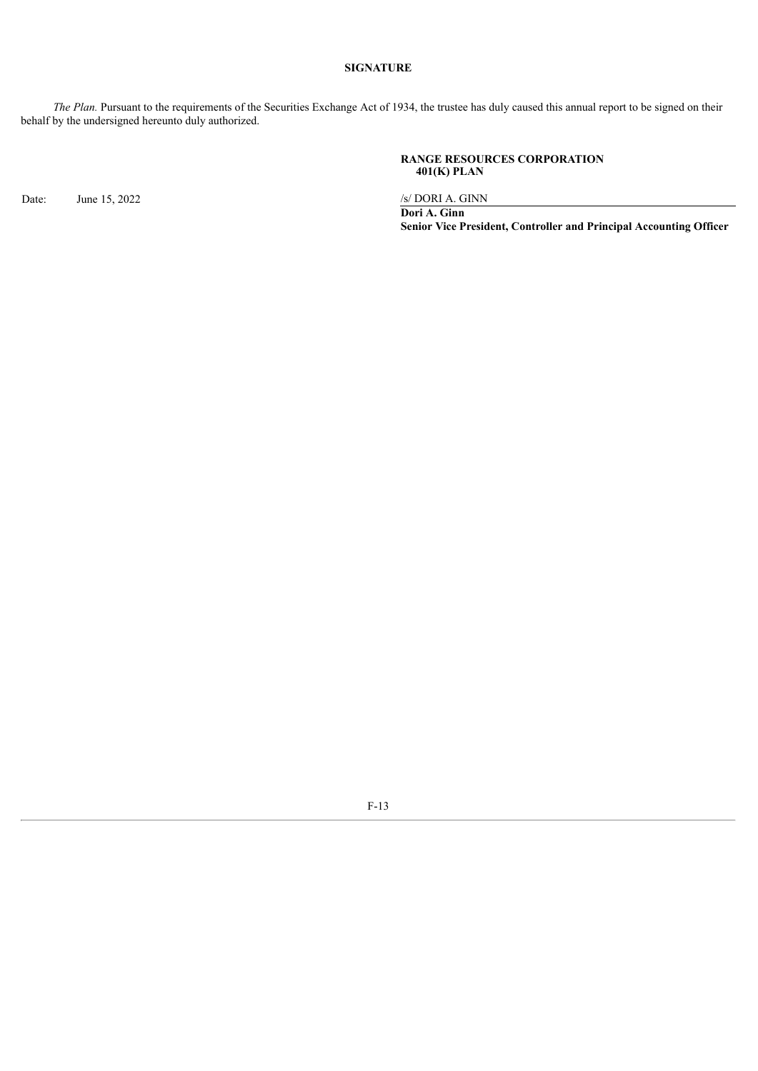#### **SIGNATURE**

<span id="page-13-0"></span>*The Plan.* Pursuant to the requirements of the Securities Exchange Act of 1934, the trustee has duly caused this annual report to be signed on their behalf by the undersigned hereunto duly authorized.

### **RANGE RESOURCES CORPORATION 401(K) PLAN**

Date: June 15, 2022 /s/ DORI A. GINN

**Dori A. Ginn**

**Senior Vice President, Controller and Principal Accounting Officer**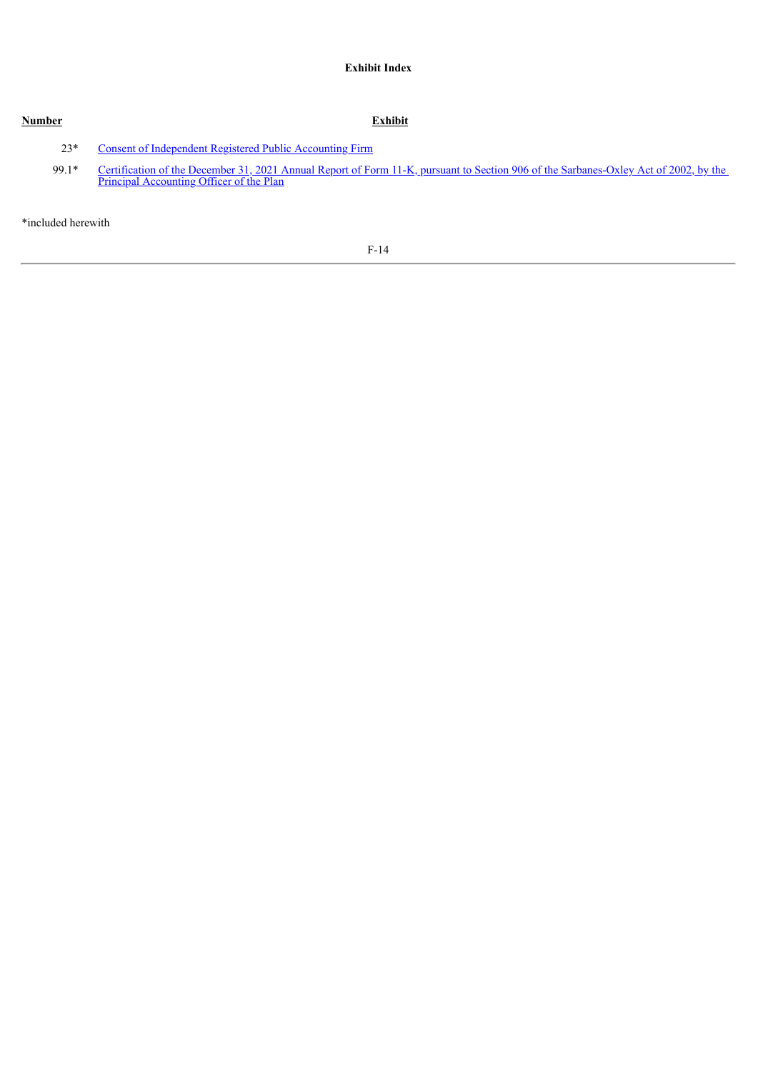## **Exhibit Index**

# <span id="page-14-0"></span>**Number Exhibit**

- 23\* Consent of [Independent](#page-15-0) Registered Public Accounting Firm
- 99.1\* Certification of the December 31, 2021 Annual Report of Form 11-K, pursuant to Section 906 of the [Sarbanes-Oxley](#page-16-0) Act of 2002, by the Principal Accounting Officer of the Plan

\*included herewith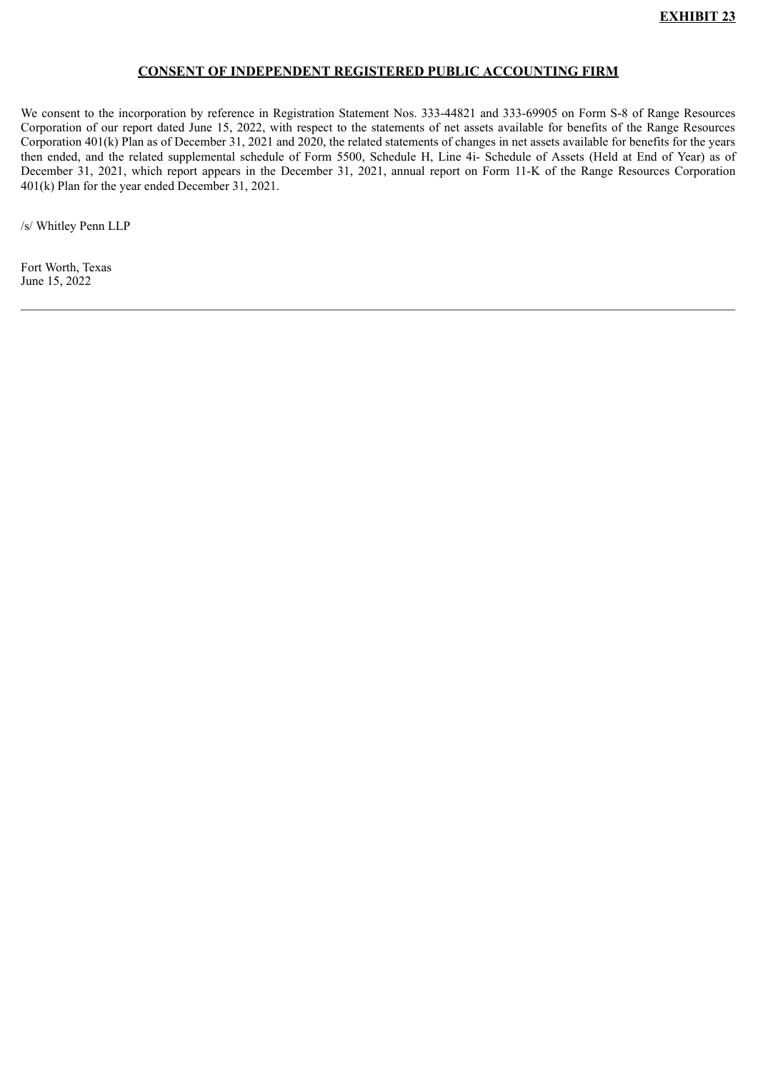# **CONSENT OF INDEPENDENT REGISTERED PUBLIC ACCOUNTING FIRM**

<span id="page-15-0"></span>We consent to the incorporation by reference in Registration Statement Nos. 333-44821 and 333-69905 on Form S-8 of Range Resources Corporation of our report dated June 15, 2022, with respect to the statements of net assets available for benefits of the Range Resources Corporation 401(k) Plan as of December 31, 2021 and 2020, the related statements of changes in net assets available for benefits for the years then ended, and the related supplemental schedule of Form 5500, Schedule H, Line 4i- Schedule of Assets (Held at End of Year) as of December 31, 2021, which report appears in the December 31, 2021, annual report on Form 11-K of the Range Resources Corporation 401(k) Plan for the year ended December 31, 2021.

/s/ Whitley Penn LLP

Fort Worth, Texas June 15, 2022